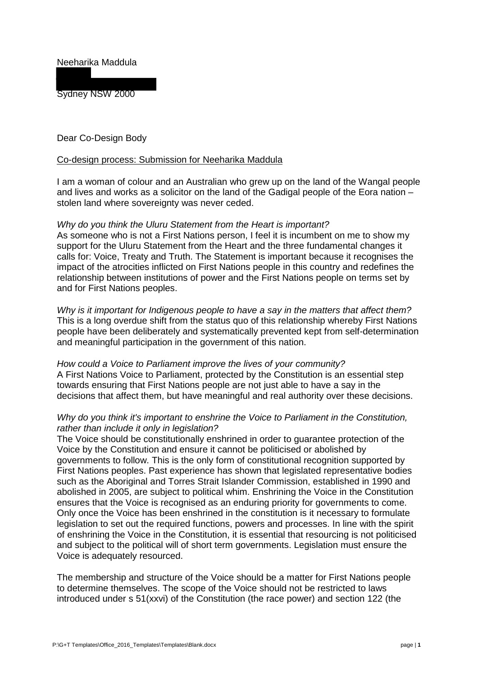Neeharika Maddula

Sydney NSW 2000

## Dear Co-Design Body

## Co-design process: Submission for Neeharika Maddula

I am a woman of colour and an Australian who grew up on the land of the Wangal people and lives and works as a solicitor on the land of the Gadigal people of the Eora nation – stolen land where sovereignty was never ceded.

## *Why do you think the Uluru Statement from the Heart is important?*

As someone who is not a First Nations person, I feel it is incumbent on me to show my support for the Uluru Statement from the Heart and the three fundamental changes it calls for: Voice, Treaty and Truth. The Statement is important because it recognises the impact of the atrocities inflicted on First Nations people in this country and redefines the relationship between institutions of power and the First Nations people on terms set by and for First Nations peoples.

*Why is it important for Indigenous people to have a say in the matters that affect them?* This is a long overdue shift from the status quo of this relationship whereby First Nations people have been deliberately and systematically prevented kept from self-determination and meaningful participation in the government of this nation.

*How could a Voice to Parliament improve the lives of your community?* A First Nations Voice to Parliament, protected by the Constitution is an essential step towards ensuring that First Nations people are not just able to have a say in the decisions that affect them, but have meaningful and real authority over these decisions.

## *Why do you think it's important to enshrine the Voice to Parliament in the Constitution, rather than include it only in legislation?*

The Voice should be constitutionally enshrined in order to guarantee protection of the Voice by the Constitution and ensure it cannot be politicised or abolished by governments to follow. This is the only form of constitutional recognition supported by First Nations peoples. Past experience has shown that legislated representative bodies such as the Aboriginal and Torres Strait Islander Commission, established in 1990 and abolished in 2005, are subject to political whim. Enshrining the Voice in the Constitution ensures that the Voice is recognised as an enduring priority for governments to come. Only once the Voice has been enshrined in the constitution is it necessary to formulate legislation to set out the required functions, powers and processes. In line with the spirit of enshrining the Voice in the Constitution, it is essential that resourcing is not politicised and subject to the political will of short term governments. Legislation must ensure the Voice is adequately resourced.

The membership and structure of the Voice should be a matter for First Nations people to determine themselves. The scope of the Voice should not be restricted to laws introduced under s 51(xxvi) of the Constitution (the race power) and section 122 (the